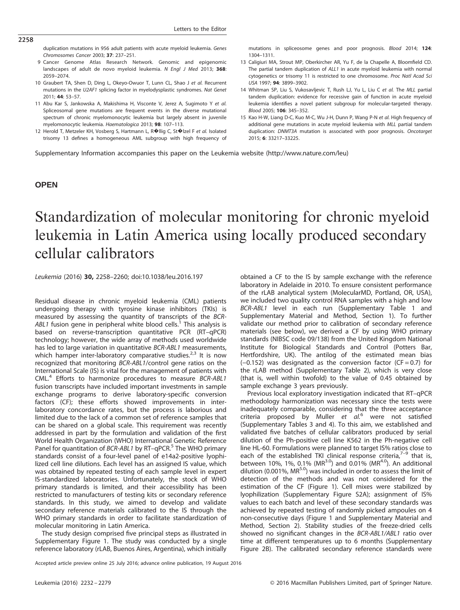duplication mutations in 956 adult patients with acute myeloid leukemia. Genes Chromosomes Cancer 2003; 37: 237–251.

- 9 Cancer Genome Atlas Research Network. Genomic and epigenomic landscapes of adult de novo myeloid leukemia. N Engl J Med 2013; 368: 2059–2074.
- 10 Graubert TA, Shen D, Ding L, Okeyo-Owuor T, Lunn CL, Shao J et al. Recurrent mutations in the U2AF1 splicing factor in myelodysplastic syndromes. Nat Genet 2011; 44: 53–57.
- 11 Abu Kar S, Jankowska A, Makishima H, Visconte V, Jerez A, Sugimoto Y et al. Spliceosomal gene mutations are frequent events in the diverse mutational spectrum of chronic myelomonocytic leukemia but largely absent in juvenile myelomonocytic leukemia. Haematologica 2013; 98: 107–113.
- 12 Herold T, Metzeler KH, Vosberg S, Hartmann L, R�llig C, St�lzel F et al. Isolated trisomy 13 defines a homogeneous AML subgroup with high frequency of

mutations in spliceosome genes and poor prognosis. Blood 2014; 124: 1304–1311.

- 13 Caligiuri MA, Strout MP, Oberkircher AR, Yu F, de la Chapelle A, Bloomfield CD. The partial tandem duplication of ALL1 in acute myeloid leukemia with normal cytogenetics or trisomy 11 is restricted to one chromosome. Proc Natl Acad Sci USA 1997; 94: 3899–3902.
- 14 Whitman SP, Liu S, Vukosavljevic T, Rush LJ, Yu L, Liu C et al. The MLL partial tandem duplication: evidence for recessive gain of function in acute myeloid leukemia identifies a novel patient subgroup for molecular-targeted therapy. Blood 2005; 106: 345–352.
- 15 Kao H-W, Liang D-C, Kuo M-C, Wu J-H, Dunn P, Wang P-N et al. High frequency of additional gene mutations in acute myeloid leukemia with MLL partial tandem duplication: DNMT3A mutation is associated with poor prognosis. Oncotarget 2015; 6: 33217–33225.

Supplementary Information accompanies this paper on the Leukemia website (http://www.nature.com/leu)

### **OPEN OPEN**

2258

# Standardization of molecular monitoring for chronic myeloid leukemia in Latin America using locally produced secondary cellular calibrators

Leukemia (2016) 30, 2258–2260; doi:10.1038/leu.2016.197

Residual disease in chronic myeloid leukemia (CML) patients undergoing therapy with tyrosine kinase inhibitors (TKIs) is measured by assessing the quantity of transcripts of the BCR-ABL1 fusion gene in peripheral white blood cells.<sup>1</sup> This analysis is based on reverse-transcription quantitative PCR (RT–qPCR) technology; however, the wide array of methods used worldwide has led to large variation in quantitative BCR-ABL1 measurements, which hamper inter-laboratory comparative studies.<sup>2,3</sup> It is now recognized that monitoring BCR-ABL1/control gene ratios on the International Scale (IS) is vital for the management of patients with CML.4 Efforts to harmonize procedures to measure BCR-ABL1 fusion transcripts have included important investments in sample exchange programs to derive laboratory-specific conversion factors (CF); these efforts showed improvements in interlaboratory concordance rates, but the process is laborious and limited due to the lack of a common set of reference samples that can be shared on a global scale. This requirement was recently addressed in part by the formulation and validation of the first World Health Organization (WHO) International Genetic Reference Panel for quantitation of BCR-ABL1 by RT-qPCR.<sup>5</sup> The WHO primary standards consist of a four-level panel of e14a2-positive lyophilized cell line dilutions. Each level has an assigned IS value, which was obtained by repeated testing of each sample level in expert IS-standardized laboratories. Unfortunately, the stock of WHO primary standards is limited, and their accessibility has been restricted to manufacturers of testing kits or secondary reference standards. In this study, we aimed to develop and validate secondary reference materials calibrated to the IS through the WHO primary standards in order to facilitate standardization of molecular monitoring in Latin America.

The study design comprised five principal steps as illustrated in Supplementary Figure 1. The study was conducted by a single reference laboratory (rLAB, Buenos Aires, Argentina), which initially

obtained a CF to the IS by sample exchange with the reference laboratory in Adelaide in 2010. To ensure consistent performance of the rLAB analytical system (MolecularMD, Portland, OR, USA), we included two quality control RNA samples with a high and low BCR-ABL1 level in each run (Supplementary Table 1 and Supplementary Material and Method, Section 1). To further validate our method prior to calibration of secondary reference materials (see below), we derived a CF by using WHO primary standards (NIBSC code 09/138) from the United Kingdom National Institute for Biological Standards and Control (Potters Bar, Hertfordshire, UK). The antilog of the estimated mean bias (−0.152) was designated as the conversion factor (CF = 0.7) for the rLAB method (Supplementary Table 2), which is very close (that is, well within twofold) to the value of 0.45 obtained by sample exchange 3 years previously.

Previous local exploratory investigation indicated that RT–qPCR methodology harmonization was necessary since the tests were inadequately comparable, considering that the three acceptance criteria proposed by Muller et  $al<sup>6</sup>$  were not satisfied (Supplementary Tables 3 and 4). To this aim, we established and validated five batches of cellular calibrators produced by serial dilution of the Ph-positive cell line K562 in the Ph-negative cell line HL-60. Formulations were planned to target IS% ratios close to each of the established TKI clinical response criteria, $7-9$  that is, between 10%, 1%, 0.1% (MR<sup>3.0</sup>) and 0.01% (MR<sup>4.0</sup>). An additional dilution (0.001%, MR<sup>5.0</sup>) was included in order to assess the limit of detection of the methods and was not considered for the estimation of the CF (Figure 1). Cell mixes were stabilized by lyophilization (Supplementary Figure S2A); assignment of IS% values to each batch and level of these secondary standards was achieved by repeated testing of randomly picked ampoules on 4 non-consecutive days (Figure 1 and Supplementary Material and Method, Section 2). Stability studies of the freeze-dried cells showed no significant changes in the BCR-ABL1/ABL1 ratio over time at different temperatures up to 6 months (Supplementary Figure 2B). The calibrated secondary reference standards were

Accepted article preview online 25 July 2016; advance online publication, 19 August 2016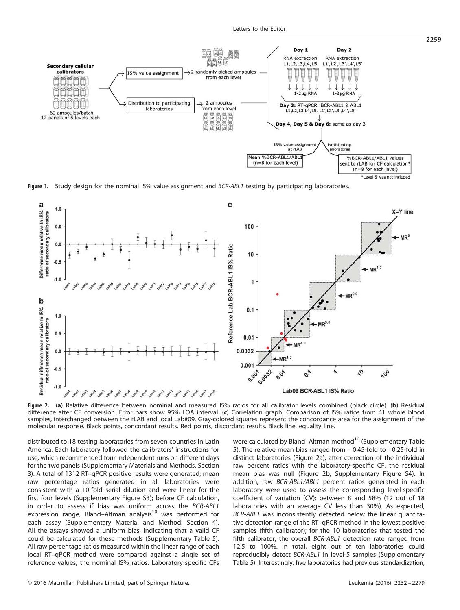

Figure 1. Study design for the nominal IS% value assignment and BCR-ABL1 testing by participating laboratories.



Figure 2. (a) Relative difference between nominal and measured IS% ratios for all calibrator levels combined (black circle). (b) Residual difference after CF conversion. Error bars show 95% LOA interval. (c) Correlation graph. Comparison of IS% ratios from 41 whole blood samples, interchanged between the rLAB and local Lab#09. Gray-colored squares represent the concordance area for the assignment of the molecular response. Black points, concordant results. Red points, discordant results. Black line, equality line.

distributed to 18 testing laboratories from seven countries in Latin America. Each laboratory followed the calibrators' instructions for use, which recommended four independent runs on different days for the two panels (Supplementary Materials and Methods, Section 3). A total of 1312 RT–qPCR positive results were generated; mean raw percentage ratios generated in all laboratories were consistent with a 10-fold serial dilution and were linear for the first four levels (Supplementary Figure S3); before CF calculation, in order to assess if bias was uniform across the BCR-ABL1 expression range, Bland–Altman analysis $10$  was performed for each assay (Supplementary Material and Method, Section 4). All the assays showed a uniform bias, indicating that a valid CF could be calculated for these methods (Supplementary Table 5). All raw percentage ratios measured within the linear range of each local RT–qPCR method were compared against a single set of reference values, the nominal IS% ratios. Laboratory-specific CFs were calculated by Bland–Altman method<sup>10</sup> (Supplementary Table 5). The relative mean bias ranged from − 0.45-fold to +0.25-fold in distinct laboratories (Figure 2a); after correction of the individual raw percent ratios with the laboratory-specific CF, the residual mean bias was null (Figure 2b, Supplementary Figure S4). In addition, raw BCR-ABL1/ABL1 percent ratios generated in each laboratory were used to assess the corresponding level-specific coefficient of variation (CV): between 8 and 58% (12 out of 18 laboratories with an average CV less than 30%). As expected, BCR-ABL1 was inconsistently detected below the linear quantitative detection range of the RT–qPCR method in the lowest positive samples (fifth calibrator); for the 10 laboratories that tested the fifth calibrator, the overall BCR-ABL1 detection rate ranged from 12.5 to 100%. In total, eight out of ten laboratories could reproducibly detect BCR-ABL1 in level-5 samples (Supplementary Table 5). Interestingly, five laboratories had previous standardization;